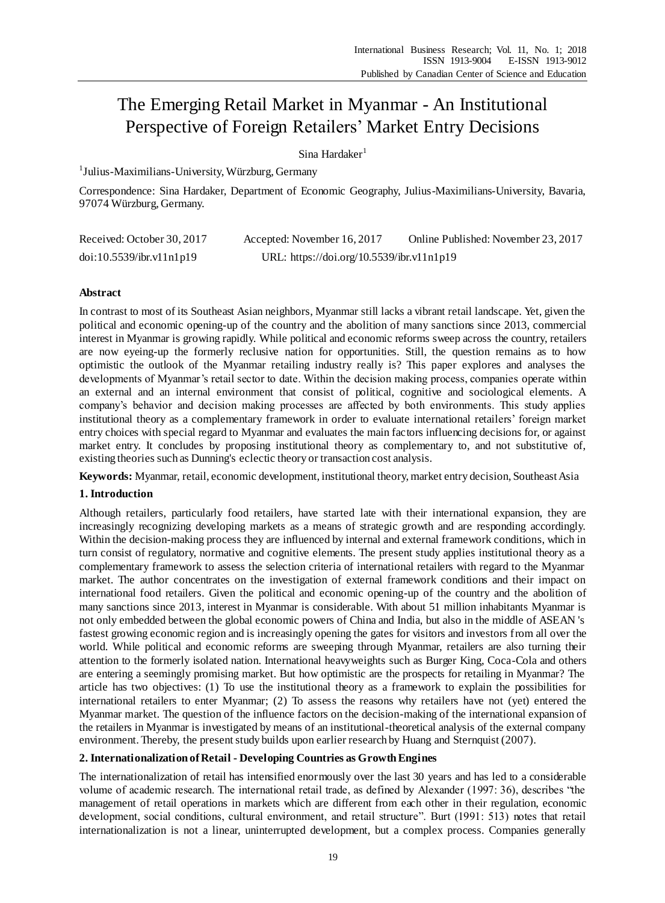# The Emerging Retail Market in Myanmar - An Institutional Perspective of Foreign Retailers' Market Entry Decisions

# $S$ ina Hardaker $1$

<sup>1</sup>Julius-Maximilians-University, Würzburg, Germany

Correspondence: Sina Hardaker, Department of Economic Geography, Julius-Maximilians-University, Bavaria, 97074 Würzburg, Germany.

| Received: October 30, 2017 | Accepted: November 16, 2017               | Online Published: November 23, 2017 |
|----------------------------|-------------------------------------------|-------------------------------------|
| doi:10.5539/ibr.v11nlp19   | URL: https://doi.org/10.5539/ibr.v11n1p19 |                                     |

# **Abstract**

In contrast to most of its Southeast Asian neighbors, Myanmar still lacks a vibrant retail landscape. Yet, given the political and economic opening-up of the country and the abolition of many sanctions since 2013, commercial interest in Myanmar is growing rapidly. While political and economic reforms sweep across the country, retailers are now eyeing-up the formerly reclusive nation for opportunities. Still, the question remains as to how optimistic the outlook of the Myanmar retailing industry really is? This paper explores and analyses the developments of Myanmar's retail sector to date. Within the decision making process, companies operate within an external and an internal environment that consist of political, cognitive and sociological elements. A company's behavior and decision making processes are affected by both environments. This study applies institutional theory as a complementary framework in order to evaluate international retailers' foreign market entry choices with special regard to Myanmar and evaluates the main factors influencing decisions for, or against market entry. It concludes by proposing institutional theory as complementary to, and not substitutive of, existing theories such as Dunning's eclectic theory or transaction cost analysis.

**Keywords:** Myanmar, retail, economic development, institutional theory, market entry decision, Southeast Asia

## **1. Introduction**

Although retailers, particularly food retailers, have started late with their international expansion, they are increasingly recognizing developing markets as a means of strategic growth and are responding accordingly. Within the decision-making process they are influenced by internal and external framework conditions, which in turn consist of regulatory, normative and cognitive elements. The present study applies institutional theory as a complementary framework to assess the selection criteria of international retailers with regard to the Myanmar market. The author concentrates on the investigation of external framework conditions and their impact on international food retailers. Given the political and economic opening-up of the country and the abolition of many sanctions since 2013, interest in Myanmar is considerable. With about 51 million inhabitants Myanmar is not only embedded between the global economic powers of China and India, but also in the middle of ASEAN 's fastest growing economic region and is increasingly opening the gates for visitors and investors from all over the world. While political and economic reforms are sweeping through Myanmar, retailers are also turning their attention to the formerly isolated nation. International heavyweights such as Burger King, Coca-Cola and others are entering a seemingly promising market. But how optimistic are the prospects for retailing in Myanmar? The article has two objectives: (1) To use the institutional theory as a framework to explain the possibilities for international retailers to enter Myanmar; (2) To assess the reasons why retailers have not (yet) entered the Myanmar market. The question of the influence factors on the decision-making of the international expansion of the retailers in Myanmar is investigated by means of an institutional-theoretical analysis of the external company environment. Thereby, the present study builds upon earlier research by Huang and Sternquist (2007).

## **2. Internationalization of Retail - Developing Countries as Growth Engines**

The internationalization of retail has intensified enormously over the last 30 years and has led to a considerable volume of academic research. The international retail trade, as defined by Alexander (1997: 36), describes "the management of retail operations in markets which are different from each other in their regulation, economic development, social conditions, cultural environment, and retail structure". Burt (1991: 513) notes that retail internationalization is not a linear, uninterrupted development, but a complex process. Companies generally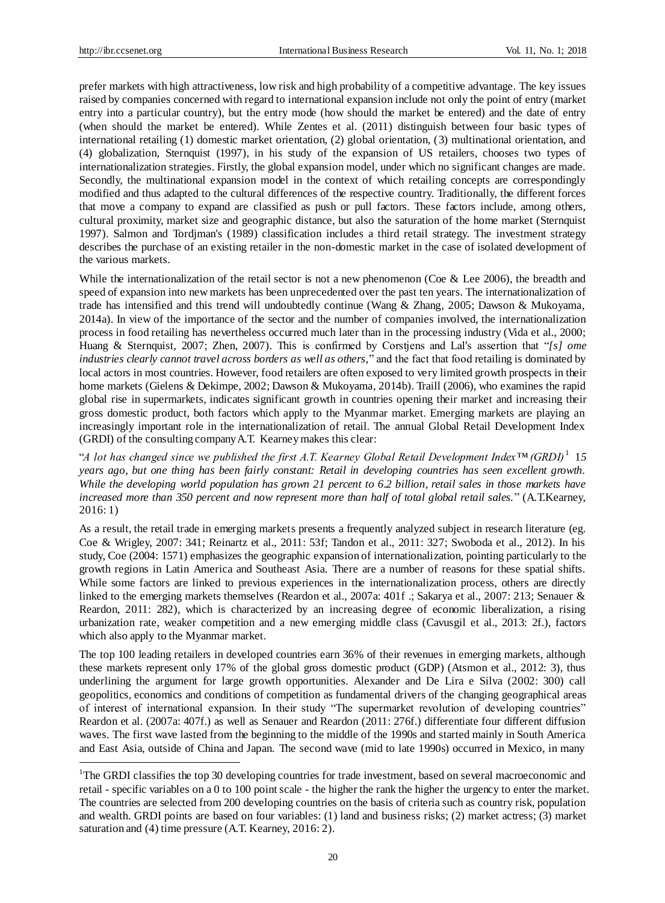<u>.</u>

prefer markets with high attractiveness, low risk and high probability of a competitive advantage. The key issues raised by companies concerned with regard to international expansion include not only the point of entry (market entry into a particular country), but the entry mode (how should the market be entered) and the date of entry (when should the market be entered). While Zentes et al. (2011) distinguish between four basic types of international retailing (1) domestic market orientation, (2) global orientation, (3) multinational orientation, and (4) globalization, Sternquist (1997), in his study of the expansion of US retailers, chooses two types of internationalization strategies. Firstly, the global expansion model, under which no significant changes are made. Secondly, the multinational expansion model in the context of which retailing concepts are correspondingly modified and thus adapted to the cultural differences of the respective country. Traditionally, the different forces that move a company to expand are classified as push or pull factors. These factors include, among others, cultural proximity, market size and geographic distance, but also the saturation of the home market (Sternquist 1997). Salmon and Tordjman's (1989) classification includes a third retail strategy. The investment strategy describes the purchase of an existing retailer in the non-domestic market in the case of isolated development of the various markets.

While the internationalization of the retail sector is not a new phenomenon (Coe & Lee 2006), the breadth and speed of expansion into new markets has been unprecedented over the past ten years. The internationalization of trade has intensified and this trend will undoubtedly continue (Wang & Zhang, 2005; Dawson & Mukoyama, 2014a). In view of the importance of the sector and the number of companies involved, the internationalization process in food retailing has nevertheless occurred much later than in the processing industry (Vida et al., 2000; Huang & Sternquist, 2007; Zhen, 2007). This is confirmed by Corstjens and Lal's assertion that "*[s] ome industries clearly cannot travel across borders as well as others,*" and the fact that food retailing is dominated by local actors in most countries. However, food retailers are often exposed to very limited growth prospects in their home markets (Gielens & Dekimpe, 2002; Dawson & Mukoyama, 2014b). Traill (2006), who examines the rapid global rise in supermarkets, indicates significant growth in countries opening their market and increasing their gross domestic product, both factors which apply to the Myanmar market. Emerging markets are playing an increasingly important role in the internationalization of retail. The annual Global Retail Development Index (GRDI) of the consulting company A.T. Kearney makes this clear:

"*A lot has changed since we published the first A.T. Kearney Global Retail Development Index™ (GRDI)* <sup>1</sup> 1*5 years ago, but one thing has been fairly constant: Retail in developing countries has seen excellent growth. While the developing world population has grown 21 percent to 6.2 billion, retail sales in those markets have increased more than 350 percent and now represent more than half of total global retail sales.*" (A.T.Kearney, 2016: 1)

As a result, the retail trade in emerging markets presents a frequently analyzed subject in research literature (eg. Coe & Wrigley, 2007: 341; Reinartz et al., 2011: 53f; Tandon et al., 2011: 327; Swoboda et al., 2012). In his study, Coe (2004: 1571) emphasizes the geographic expansion of internationalization, pointing particularly to the growth regions in Latin America and Southeast Asia. There are a number of reasons for these spatial shifts. While some factors are linked to previous experiences in the internationalization process, others are directly linked to the emerging markets themselves (Reardon et al., 2007a: 401f .; Sakarya et al., 2007: 213; Senauer & Reardon, 2011: 282), which is characterized by an increasing degree of economic liberalization, a rising urbanization rate, weaker competition and a new emerging middle class (Cavusgil et al., 2013: 2f.), factors which also apply to the Myanmar market.

The top 100 leading retailers in developed countries earn 36% of their revenues in emerging markets, although these markets represent only 17% of the global gross domestic product (GDP) (Atsmon et al., 2012: 3), thus underlining the argument for large growth opportunities. Alexander and De Lira e Silva (2002: 300) call geopolitics, economics and conditions of competition as fundamental drivers of the changing geographical areas of interest of international expansion. In their study "The supermarket revolution of developing countries" Reardon et al. (2007a: 407f.) as well as Senauer and Reardon (2011: 276f.) differentiate four different diffusion waves. The first wave lasted from the beginning to the middle of the 1990s and started mainly in South America and East Asia, outside of China and Japan. The second wave (mid to late 1990s) occurred in Mexico, in many

<sup>&</sup>lt;sup>1</sup>The GRDI classifies the top 30 developing countries for trade investment, based on several macroeconomic and retail - specific variables on a 0 to 100 point scale - the higher the rank the higher the urgency to enter the market. The countries are selected from 200 developing countries on the basis of criteria such as country risk, population and wealth. GRDI points are based on four variables: (1) land and business risks; (2) market actress; (3) market saturation and (4) time pressure (A.T. Kearney, 2016: 2).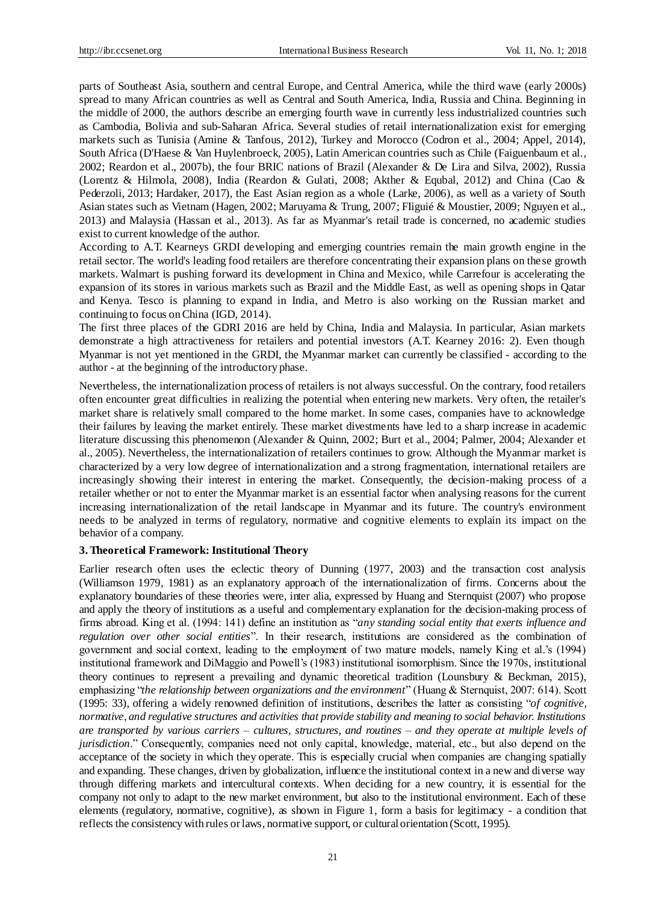parts of Southeast Asia, southern and central Europe, and Central America, while the third wave (early 2000s) spread to many African countries as well as Central and South America, India, Russia and China. Beginning in the middle of 2000, the authors describe an emerging fourth wave in currently less industrialized countries such as Cambodia, Bolivia and sub-Saharan Africa. Several studies of retail internationalization exist for emerging markets such as Tunisia (Amine & Tanfous, 2012), Turkey and Morocco (Codron et al., 2004; Appel, 2014), South Africa (D'Haese & Van Huylenbroeck, 2005), Latin American countries such as Chile (Faiguenbaum et al., 2002; Reardon et al., 2007b), the four BRIC nations of Brazil (Alexander & De Lira and Silva, 2002), Russia (Lorentz & Hilmola, 2008), India (Reardon & Gulati, 2008; Akther & Equbal, 2012) and China (Cao & Pederzoli, 2013; Hardaker, 2017), the East Asian region as a whole (Larke, 2006), as well as a variety of South Asian states such as Vietnam (Hagen, 2002; Maruyama & Trung, 2007; FIiguié & Moustier, 2009; Nguyen et al., 2013) and Malaysia (Hassan et al., 2013). As far as Myanmar's retail trade is concerned, no academic studies exist to current knowledge of the author.

According to A.T. Kearneys GRDI developing and emerging countries remain the main growth engine in the retail sector. The world's leading food retailers are therefore concentrating their expansion plans on these growth markets. Walmart is pushing forward its development in China and Mexico, while Carrefour is accelerating the expansion of its stores in various markets such as Brazil and the Middle East, as well as opening shops in Qatar and Kenya. Tesco is planning to expand in India, and Metro is also working on the Russian market and continuing to focus on China (IGD, 2014).

The first three places of the GDRI 2016 are held by China, India and Malaysia. In particular, Asian markets demonstrate a high attractiveness for retailers and potential investors (A.T. Kearney 2016: 2). Even though Myanmar is not yet mentioned in the GRDI, the Myanmar market can currently be classified - according to the author - at the beginning of the introductory phase.

Nevertheless, the internationalization process of retailers is not always successful. On the contrary, food retailers often encounter great difficulties in realizing the potential when entering new markets. Very often, the retailer's market share is relatively small compared to the home market. In some cases, companies have to acknowledge their failures by leaving the market entirely. These market divestments have led to a sharp increase in academic literature discussing this phenomenon (Alexander & Quinn, 2002; Burt et al., 2004; Palmer, 2004; Alexander et al., 2005). Nevertheless, the internationalization of retailers continues to grow. Although the Myanmar market is characterized by a very low degree of internationalization and a strong fragmentation, international retailers are increasingly showing their interest in entering the market. Consequently, the decision-making process of a retailer whether or not to enter the Myanmar market is an essential factor when analysing reasons for the current increasing internationalization of the retail landscape in Myanmar and its future. The country's environment needs to be analyzed in terms of regulatory, normative and cognitive elements to explain its impact on the behavior of a company.

## **3. Theoretical Framework: Institutional Theory**

Earlier research often uses the eclectic theory of Dunning (1977, 2003) and the transaction cost analysis (Williamson 1979, 1981) as an explanatory approach of the internationalization of firms. Concerns about the explanatory boundaries of these theories were, inter alia, expressed by Huang and Sternquist (2007) who propose and apply the theory of institutions as a useful and complementary explanation for the decision-making process of firms abroad. King et al. (1994: 141) define an institution as "*any standing social entity that exerts influence and regulation over other social entities*". In their research, institutions are considered as the combination of government and social context, leading to the employment of two mature models, namely King et al.'s (1994) institutional framework and DiMaggio and Powell's (1983) institutional isomorphism. Since the 1970s, institutional theory continues to represent a prevailing and dynamic theoretical tradition (Lounsbury & Beckman, 2015), emphasizing "*the relationship between organizations and the environment*" (Huang & Sternquist, 2007: 614). Scott (1995: 33), offering a widely renowned definition of institutions, describes the latter as consisting "*of cognitive, normative, and regulative structures and activities that provide stability and meaning to social behavior. Institutions are transported by various carriers – cultures, structures, and routines – and they operate at multiple levels of jurisdiction*." Consequently, companies need not only capital, knowledge, material, etc., but also depend on the acceptance of the society in which they operate. This is especially crucial when companies are changing spatially and expanding. These changes, driven by globalization, influence the institutional context in a new and diverse way through differing markets and intercultural contexts. When deciding for a new country, it is essential for the company not only to adapt to the new market environment, but also to the institutional environment. Each of these elements (regulatory, normative, cognitive), as shown in Figure 1, form a basis for legitimacy - a condition that reflects the consistency with rules or laws, normative support, or cultural orientation (Scott, 1995).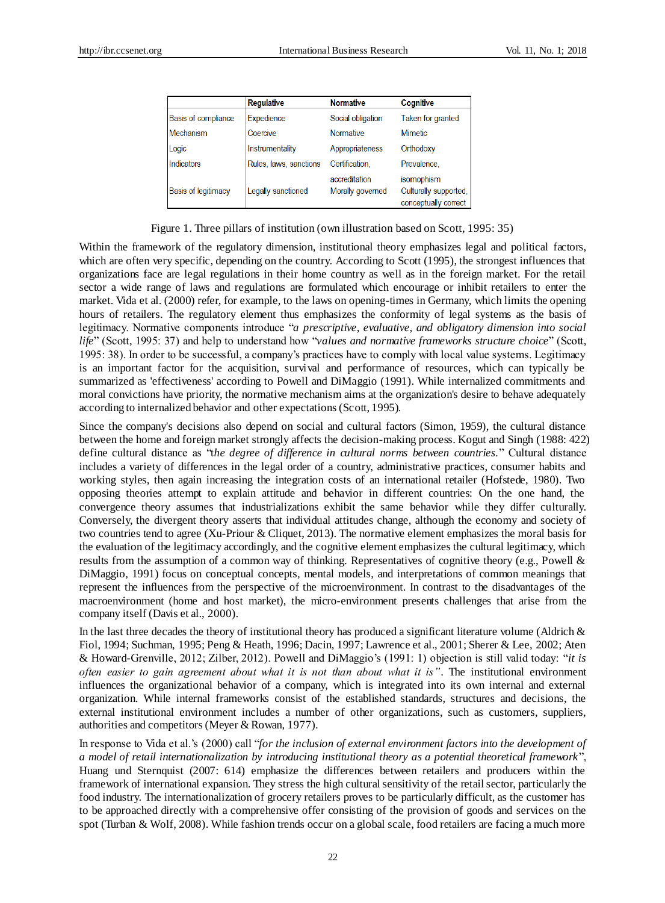|                            | <b>Requlative</b>      | <b>Normative</b>                  | <b>Cognitive</b>                                            |
|----------------------------|------------------------|-----------------------------------|-------------------------------------------------------------|
| Basis of compliance        | Expedience             | Social obligation                 | Taken for granted                                           |
| Mechanism                  | Coercive               | <b>Normative</b>                  | <b>Mimetic</b>                                              |
| Logic                      | Instrumentality        | Appropriateness                   | Orthodoxy                                                   |
| Indicators                 | Rules, laws, sanctions | Certification.                    | Prevalence,                                                 |
| <b>Basis of legitimacy</b> | Legally sanctioned     | accreditation<br>Morally governed | isomophism<br>Culturally supported,<br>conceptually correct |

Figure 1. Three pillars of institution (own illustration based on Scott, 1995: 35)

Within the framework of the regulatory dimension, institutional theory emphasizes legal and political factors, which are often very specific, depending on the country. According to Scott (1995), the strongest influences that organizations face are legal regulations in their home country as well as in the foreign market. For the retail sector a wide range of laws and regulations are formulated which encourage or inhibit retailers to enter the market. Vida et al. (2000) refer, for example, to the laws on opening-times in Germany, which limits the opening hours of retailers. The regulatory element thus emphasizes the conformity of legal systems as the basis of legitimacy. Normative components introduce "*a prescriptive, evaluative, and obligatory dimension into social life*" (Scott, 1995: 37) and help to understand how "*values and normative frameworks structure choice*" (Scott, 1995: 38). In order to be successful, a company's practices have to comply with local value systems. Legitimacy is an important factor for the acquisition, survival and performance of resources, which can typically be summarized as 'effectiveness' according to Powell and DiMaggio (1991). While internalized commitments and moral convictions have priority, the normative mechanism aims at the organization's desire to behave adequately according to internalized behavior and other expectations (Scott, 1995).

Since the company's decisions also depend on social and cultural factors (Simon, 1959), the cultural distance between the home and foreign market strongly affects the decision-making process. Kogut and Singh (1988: 422) define cultural distance as "t*he degree of difference in cultural norms between countries.*" Cultural distance includes a variety of differences in the legal order of a country, administrative practices, consumer habits and working styles, then again increasing the integration costs of an international retailer (Hofstede, 1980). Two opposing theories attempt to explain attitude and behavior in different countries: On the one hand, the convergence theory assumes that industrializations exhibit the same behavior while they differ culturally. Conversely, the divergent theory asserts that individual attitudes change, although the economy and society of two countries tend to agree (Xu-Priour & Cliquet, 2013). The normative element emphasizes the moral basis for the evaluation of the legitimacy accordingly, and the cognitive element emphasizes the cultural legitimacy, which results from the assumption of a common way of thinking. Representatives of cognitive theory (e.g., Powell & DiMaggio, 1991) focus on conceptual concepts, mental models, and interpretations of common meanings that represent the influences from the perspective of the microenvironment. In contrast to the disadvantages of the macroenvironment (home and host market), the micro-environment presents challenges that arise from the company itself (Davis et al., 2000).

In the last three decades the theory of institutional theory has produced a significant literature volume (Aldrich  $\&$ Fiol, 1994; Suchman, 1995; Peng & Heath, 1996; Dacin, 1997; Lawrence et al., 2001; Sherer & Lee, 2002; Aten & Howard-Grenville, 2012; Zilber, 2012). Powell and DiMaggio's (1991: 1) objection is still valid today: "*it is often easier to gain agreement about what it is not than about what it is"*. The institutional environment influences the organizational behavior of a company, which is integrated into its own internal and external organization. While internal frameworks consist of the established standards, structures and decisions, the external institutional environment includes a number of other organizations, such as customers, suppliers, authorities and competitors (Meyer & Rowan, 1977).

In response to Vida et al.'s (2000) call "*for the inclusion of external environment factors into the development of a model of retail internationalization by introducing institutional theory as a potential theoretical framework*", Huang und Sternquist (2007: 614) emphasize the differences between retailers and producers within the framework of international expansion. They stress the high cultural sensitivity of the retail sector, particularly the food industry. The internationalization of grocery retailers proves to be particularly difficult, as the customer has to be approached directly with a comprehensive offer consisting of the provision of goods and services on the spot (Turban & Wolf, 2008). While fashion trends occur on a global scale, food retailers are facing a much more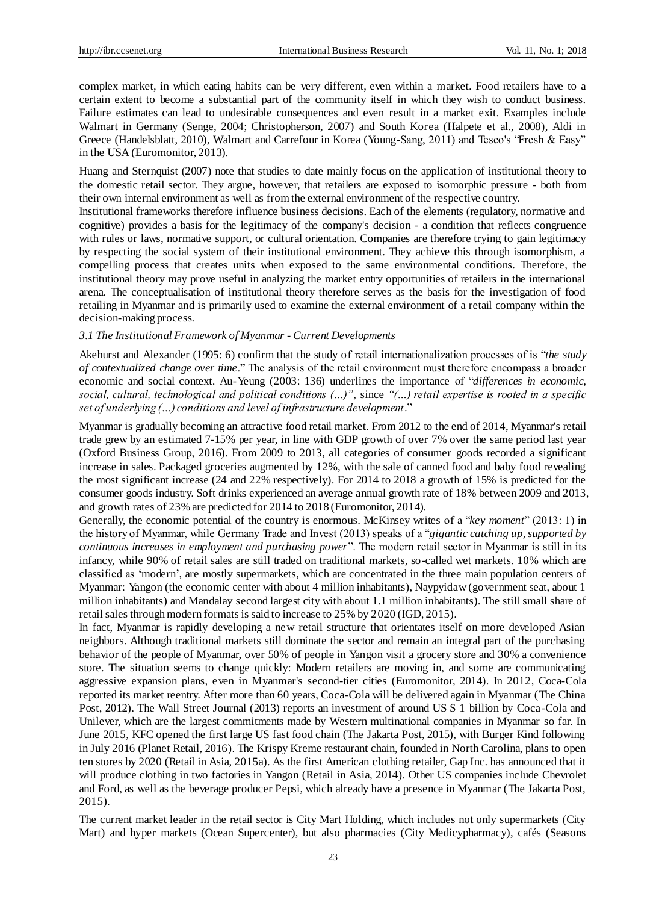complex market, in which eating habits can be very different, even within a market. Food retailers have to a certain extent to become a substantial part of the community itself in which they wish to conduct business. Failure estimates can lead to undesirable consequences and even result in a market exit. Examples include Walmart in Germany (Senge, 2004; Christopherson, 2007) and South Korea (Halpete et al., 2008), Aldi in Greece (Handelsblatt, 2010), Walmart and Carrefour in Korea (Young-Sang, 2011) and Tesco's "Fresh & Easy" in the USA (Euromonitor, 2013).

Huang and Sternquist (2007) note that studies to date mainly focus on the application of institutional theory to the domestic retail sector. They argue, however, that retailers are exposed to isomorphic pressure - both from their own internal environment as well as from the external environment of the respective country.

Institutional frameworks therefore influence business decisions. Each of the elements (regulatory, normative and cognitive) provides a basis for the legitimacy of the company's decision - a condition that reflects congruence with rules or laws, normative support, or cultural orientation. Companies are therefore trying to gain legitimacy by respecting the social system of their institutional environment. They achieve this through isomorphism, a compelling process that creates units when exposed to the same environmental conditions. Therefore, the institutional theory may prove useful in analyzing the market entry opportunities of retailers in the international arena. The conceptualisation of institutional theory therefore serves as the basis for the investigation of food retailing in Myanmar and is primarily used to examine the external environment of a retail company within the decision-making process.

## *3.1 The Institutional Framework of Myanmar - Current Developments*

Akehurst and Alexander (1995: 6) confirm that the study of retail internationalization processes of is "*the study of contextualized change over time*." The analysis of the retail environment must therefore encompass a broader economic and social context. Au-Yeung (2003: 136) underlines the importance of "*differences in economic, social, cultural, technological and political conditions (…)"*, since *"(…) retail expertise is rooted in a specific set of underlying (…) conditions and level of infrastructure development*."

Myanmar is gradually becoming an attractive food retail market. From 2012 to the end of 2014, Myanmar's retail trade grew by an estimated 7-15% per year, in line with GDP growth of over 7% over the same period last year (Oxford Business Group, 2016). From 2009 to 2013, all categories of consumer goods recorded a significant increase in sales. Packaged groceries augmented by 12%, with the sale of canned food and baby food revealing the most significant increase (24 and 22% respectively). For 2014 to 2018 a growth of 15% is predicted for the consumer goods industry. Soft drinks experienced an average annual growth rate of 18% between 2009 and 2013, and growth rates of 23% are predicted for 2014 to 2018 (Euromonitor, 2014).

Generally, the economic potential of the country is enormous. McKinsey writes of a "*key moment*" (2013: 1) in the history of Myanmar, while Germany Trade and Invest (2013) speaks of a "*gigantic catching up, supported by continuous increases in employment and purchasing power*". The modern retail sector in Myanmar is still in its infancy, while 90% of retail sales are still traded on traditional markets, so-called wet markets. 10% which are classified as 'modern', are mostly supermarkets, which are concentrated in the three main population centers of Myanmar: Yangon (the economic center with about 4 million inhabitants), Naypyidaw (government seat, about 1 million inhabitants) and Mandalay second largest city with about 1.1 million inhabitants). The still small share of retail sales through modern formats is said to increase to 25% by 2020 (IGD, 2015).

In fact, Myanmar is rapidly developing a new retail structure that orientates itself on more developed Asian neighbors. Although traditional markets still dominate the sector and remain an integral part of the purchasing behavior of the people of Myanmar, over 50% of people in Yangon visit a grocery store and 30% a convenience store. The situation seems to change quickly: Modern retailers are moving in, and some are communicating aggressive expansion plans, even in Myanmar's second-tier cities (Euromonitor, 2014). In 2012, Coca-Cola reported its market reentry. After more than 60 years, Coca-Cola will be delivered again in Myanmar (The China Post, 2012). The Wall Street Journal (2013) reports an investment of around US \$ 1 billion by Coca-Cola and Unilever, which are the largest commitments made by Western multinational companies in Myanmar so far. In June 2015, KFC opened the first large US fast food chain (The Jakarta Post, 2015), with Burger Kind following in July 2016 (Planet Retail, 2016). The Krispy Kreme restaurant chain, founded in North Carolina, plans to open ten stores by 2020 (Retail in Asia, 2015a). As the first American clothing retailer, Gap Inc. has announced that it will produce clothing in two factories in Yangon (Retail in Asia, 2014). Other US companies include Chevrolet and Ford, as well as the beverage producer Pepsi, which already have a presence in Myanmar (The Jakarta Post, 2015).

The current market leader in the retail sector is City Mart Holding, which includes not only supermarkets (City Mart) and hyper markets (Ocean Supercenter), but also pharmacies (City Medicypharmacy), caf  $\acute{\text{s}}$  (Seasons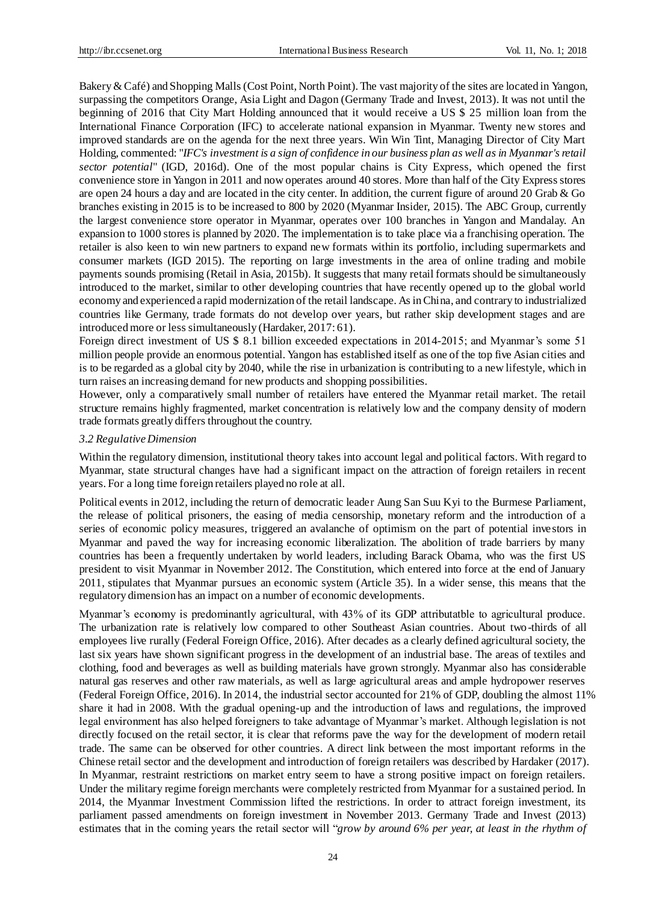Bakery & Caf é) and Shopping Malls (Cost Point, North Point). The vast majority of the sites are located in Yangon, surpassing the competitors Orange, Asia Light and Dagon (Germany Trade and Invest, 2013). It was not until the beginning of 2016 that City Mart Holding announced that it would receive a US \$ 25 million loan from the International Finance Corporation (IFC) to accelerate national expansion in Myanmar. Twenty new stores and improved standards are on the agenda for the next three years. Win Win Tint, Managing Director of City Mart Holding, commented: "*IFC's investment is a sign of confidence in our business plan as well as in Myanmar's retail sector potential*" (IGD, 2016d). One of the most popular chains is City Express, which opened the first convenience store in Yangon in 2011 and now operates around 40 stores. More than half of the City Express stores are open 24 hours a day and are located in the city center. In addition, the current figure of around 20 Grab & Go branches existing in 2015 is to be increased to 800 by 2020 (Myanmar Insider, 2015). The ABC Group, currently the largest convenience store operator in Myanmar, operates over 100 branches in Yangon and Mandalay. An expansion to 1000 stores is planned by 2020. The implementation is to take place via a franchising operation. The retailer is also keen to win new partners to expand new formats within its portfolio, including supermarkets and consumer markets (IGD 2015). The reporting on large investments in the area of online trading and mobile payments sounds promising (Retail in Asia, 2015b). It suggests that many retail formats should be simultaneously introduced to the market, similar to other developing countries that have recently opened up to the global world economy and experienced a rapid modernization of the retail landscape. As in China, and contrary to industrialized countries like Germany, trade formats do not develop over years, but rather skip development stages and are introduced more or less simultaneously (Hardaker, 2017: 61).

Foreign direct investment of US \$ 8.1 billion exceeded expectations in 2014-2015; and Myanmar's some 51 million people provide an enormous potential. Yangon has established itself as one of the top five Asian cities and is to be regarded as a global city by 2040, while the rise in urbanization is contributing to a new lifestyle, which in turn raises an increasing demand for new products and shopping possibilities.

However, only a comparatively small number of retailers have entered the Myanmar retail market. The retail structure remains highly fragmented, market concentration is relatively low and the company density of modern trade formats greatly differs throughout the country.

## *3.2 Regulative Dimension*

Within the regulatory dimension, institutional theory takes into account legal and political factors. With regard to Myanmar, state structural changes have had a significant impact on the attraction of foreign retailers in recent years. For a long time foreign retailers played no role at all.

Political events in 2012, including the return of democratic leader Aung San Suu Kyi to the Burmese Parliament, the release of political prisoners, the easing of media censorship, monetary reform and the introduction of a series of economic policy measures, triggered an avalanche of optimism on the part of potential inve stors in Myanmar and paved the way for increasing economic liberalization. The abolition of trade barriers by many countries has been a frequently undertaken by world leaders, including Barack Obama, who was the first US president to visit Myanmar in November 2012. The Constitution, which entered into force at the end of January 2011, stipulates that Myanmar pursues an economic system (Article 35). In a wider sense, this means that the regulatory dimension has an impact on a number of economic developments.

Myanmar's economy is predominantly agricultural, with 43% of its GDP attributatble to agricultural produce. The urbanization rate is relatively low compared to other Southeast Asian countries. About two-thirds of all employees live rurally (Federal Foreign Office, 2016). After decades as a clearly defined agricultural society, the last six years have shown significant progress in the development of an industrial base. The areas of textiles and clothing, food and beverages as well as building materials have grown strongly. Myanmar also has considerable natural gas reserves and other raw materials, as well as large agricultural areas and ample hydropower reserves (Federal Foreign Office, 2016). In 2014, the industrial sector accounted for 21% of GDP, doubling the almost 11% share it had in 2008. With the gradual opening-up and the introduction of laws and regulations, the improved legal environment has also helped foreigners to take advantage of Myanmar's market. Although legislation is not directly focused on the retail sector, it is clear that reforms pave the way for the development of modern retail trade. The same can be observed for other countries. A direct link between the most important reforms in the Chinese retail sector and the development and introduction of foreign retailers was described by Hardaker (2017). In Myanmar, restraint restrictions on market entry seem to have a strong positive impact on foreign retailers. Under the military regime foreign merchants were completely restricted from Myanmar for a sustained period. In 2014, the Myanmar Investment Commission lifted the restrictions. In order to attract foreign investment, its parliament passed amendments on foreign investment in November 2013. Germany Trade and Invest (2013) estimates that in the coming years the retail sector will "*grow by around 6% per year, at least in the rhythm of*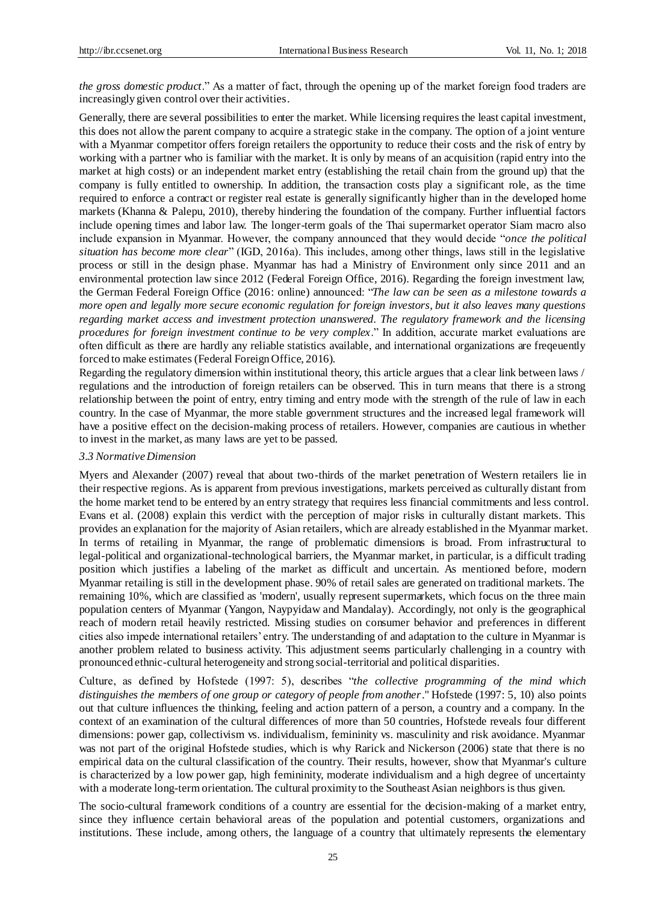*the gross domestic product*." As a matter of fact, through the opening up of the market foreign food traders are increasingly given control over their activities.

Generally, there are several possibilities to enter the market. While licensing requires the least capital investment, this does not allow the parent company to acquire a strategic stake in the company. The option of a joint venture with a Myanmar competitor offers foreign retailers the opportunity to reduce their costs and the risk of entry by working with a partner who is familiar with the market. It is only by means of an acquisition (rapid entry into the market at high costs) or an independent market entry (establishing the retail chain from the ground up) that the company is fully entitled to ownership. In addition, the transaction costs play a significant role, as the time required to enforce a contract or register real estate is generally significantly higher than in the developed home markets (Khanna & Palepu, 2010), thereby hindering the foundation of the company. Further influential factors include opening times and labor law. The longer-term goals of the Thai supermarket operator Siam macro also include expansion in Myanmar. However, the company announced that they would decide "*once the political situation has become more clear*" (IGD, 2016a). This includes, among other things, laws still in the legislative process or still in the design phase. Myanmar has had a Ministry of Environment only since 2011 and an environmental protection law since 2012 (Federal Foreign Office, 2016). Regarding the foreign investment law, the German Federal Foreign Office (2016: online) announced: "*The law can be seen as a milestone towards a more open and legally more secure economic regulation for foreign investors, but it also leaves many questions regarding market access and investment protection unanswered. The regulatory framework and the licensing procedures for foreign investment continue to be very complex*." In addition, accurate market evaluations are often difficult as there are hardly any reliable statistics available, and international organizations are freqeuently forced to make estimates (Federal Foreign Office, 2016).

Regarding the regulatory dimension within institutional theory, this article argues that a clear link between laws / regulations and the introduction of foreign retailers can be observed. This in turn means that there is a strong relationship between the point of entry, entry timing and entry mode with the strength of the rule of law in each country. In the case of Myanmar, the more stable government structures and the increased legal framework will have a positive effect on the decision-making process of retailers. However, companies are cautious in whether to invest in the market, as many laws are yet to be passed.

### *3.3 Normative Dimension*

Myers and Alexander (2007) reveal that about two-thirds of the market penetration of Western retailers lie in their respective regions. As is apparent from previous investigations, markets perceived as culturally distant from the home market tend to be entered by an entry strategy that requires less financial commitments and less control. Evans et al. (2008) explain this verdict with the perception of major risks in culturally distant markets. This provides an explanation for the majority of Asian retailers, which are already established in the Myanmar market. In terms of retailing in Myanmar, the range of problematic dimensions is broad. From infrastructural to legal-political and organizational-technological barriers, the Myanmar market, in particular, is a difficult trading position which justifies a labeling of the market as difficult and uncertain. As mentioned before, modern Myanmar retailing is still in the development phase. 90% of retail sales are generated on traditional markets. The remaining 10%, which are classified as 'modern', usually represent supermarkets, which focus on the three main population centers of Myanmar (Yangon, Naypyidaw and Mandalay). Accordingly, not only is the geographical reach of modern retail heavily restricted. Missing studies on consumer behavior and preferences in different cities also impede international retailers' entry. The understanding of and adaptation to the culture in Myanmar is another problem related to business activity. This adjustment seems particularly challenging in a country with pronounced ethnic-cultural heterogeneity and strong social-territorial and political disparities.

Culture, as defined by Hofstede (1997: 5), describes "*the collective programming of the mind which distinguishes the members of one group or category of people from another*." Hofstede (1997: 5, 10) also points out that culture influences the thinking, feeling and action pattern of a person, a country and a company. In the context of an examination of the cultural differences of more than 50 countries, Hofstede reveals four different dimensions: power gap, collectivism vs. individualism, femininity vs. masculinity and risk avoidance. Myanmar was not part of the original Hofstede studies, which is why Rarick and Nickerson (2006) state that there is no empirical data on the cultural classification of the country. Their results, however, show that Myanmar's culture is characterized by a low power gap, high femininity, moderate individualism and a high degree of uncertainty with a moderate long-term orientation. The cultural proximity to the Southeast Asian neighbors is thus given.

The socio-cultural framework conditions of a country are essential for the decision-making of a market entry, since they influence certain behavioral areas of the population and potential customers, organizations and institutions. These include, among others, the language of a country that ultimately represents the elementary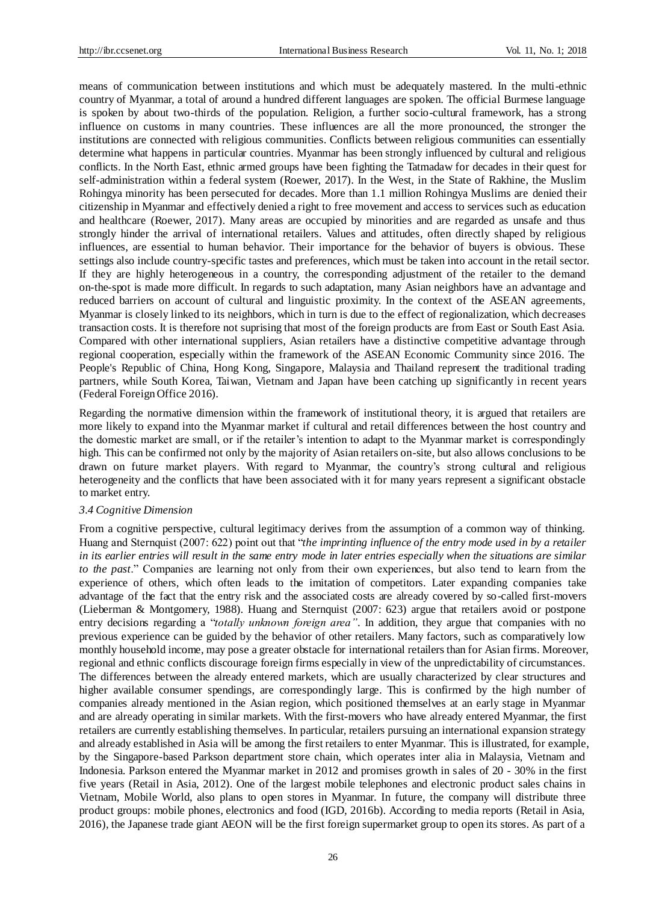means of communication between institutions and which must be adequately mastered. In the multi-ethnic country of Myanmar, a total of around a hundred different languages are spoken. The official Burmese language is spoken by about two-thirds of the population. Religion, a further socio-cultural framework, has a strong influence on customs in many countries. These influences are all the more pronounced, the stronger the institutions are connected with religious communities. Conflicts between religious communities can essentially determine what happens in particular countries. Myanmar has been strongly influenced by cultural and religious conflicts. In the North East, ethnic armed groups have been fighting the Tatmadaw for decades in their quest for self-administration within a federal system (Roewer, 2017). In the West, in the State of Rakhine, the Muslim Rohingya minority has been persecuted for decades. More than 1.1 million Rohingya Muslims are denied their citizenship in Myanmar and effectively denied a right to free movement and access to services such as education and healthcare (Roewer, 2017). Many areas are occupied by minorities and are regarded as unsafe and thus strongly hinder the arrival of international retailers. Values and attitudes, often directly shaped by religious influences, are essential to human behavior. Their importance for the behavior of buyers is obvious. These settings also include country-specific tastes and preferences, which must be taken into account in the retail sector. If they are highly heterogeneous in a country, the corresponding adjustment of the retailer to the demand on-the-spot is made more difficult. In regards to such adaptation, many Asian neighbors have an advantage and reduced barriers on account of cultural and linguistic proximity. In the context of the ASEAN agreements, Myanmar is closely linked to its neighbors, which in turn is due to the effect of regionalization, which decreases transaction costs. It is therefore not suprising that most of the foreign products are from East or South East Asia. Compared with other international suppliers, Asian retailers have a distinctive competitive advantage through regional cooperation, especially within the framework of the ASEAN Economic Community since 2016. The People's Republic of China, Hong Kong, Singapore, Malaysia and Thailand represent the traditional trading partners, while South Korea, Taiwan, Vietnam and Japan have been catching up significantly in recent years (Federal Foreign Office 2016).

Regarding the normative dimension within the framework of institutional theory, it is argued that retailers are more likely to expand into the Myanmar market if cultural and retail differences between the host country and the domestic market are small, or if the retailer's intention to adapt to the Myanmar market is correspondingly high. This can be confirmed not only by the majority of Asian retailers on-site, but also allows conclusions to be drawn on future market players. With regard to Myanmar, the country's strong cultural and religious heterogeneity and the conflicts that have been associated with it for many years represent a significant obstacle to market entry.

#### *3.4 Cognitive Dimension*

From a cognitive perspective, cultural legitimacy derives from the assumption of a common way of thinking. Huang and Sternquist (2007: 622) point out that "*the imprinting influence of the entry mode used in by a retailer in its earlier entries will result in the same entry mode in later entries especially when the situations are similar to the past*." Companies are learning not only from their own experiences, but also tend to learn from the experience of others, which often leads to the imitation of competitors. Later expanding companies take advantage of the fact that the entry risk and the associated costs are already covered by so-called first-movers (Lieberman & Montgomery, 1988). Huang and Sternquist (2007: 623) argue that retailers avoid or postpone entry decisions regarding a "*totally unknown foreign area"*. In addition, they argue that companies with no previous experience can be guided by the behavior of other retailers. Many factors, such as comparatively low monthly household income, may pose a greater obstacle for international retailers than for Asian firms. Moreover, regional and ethnic conflicts discourage foreign firms especially in view of the unpredictability of circumstances. The differences between the already entered markets, which are usually characterized by clear structures and higher available consumer spendings, are correspondingly large. This is confirmed by the high number of companies already mentioned in the Asian region, which positioned themselves at an early stage in Myanmar and are already operating in similar markets. With the first-movers who have already entered Myanmar, the first retailers are currently establishing themselves. In particular, retailers pursuing an international expansion strategy and already established in Asia will be among the first retailers to enter Myanmar. This is illustrated, for example, by the Singapore-based Parkson department store chain, which operates inter alia in Malaysia, Vietnam and Indonesia. Parkson entered the Myanmar market in 2012 and promises growth in sales of 20 - 30% in the first five years (Retail in Asia, 2012). One of the largest mobile telephones and electronic product sales chains in Vietnam, Mobile World, also plans to open stores in Myanmar. In future, the company will distribute three product groups: mobile phones, electronics and food (IGD, 2016b). According to media reports (Retail in Asia, 2016), the Japanese trade giant AEON will be the first foreign supermarket group to open its stores. As part of a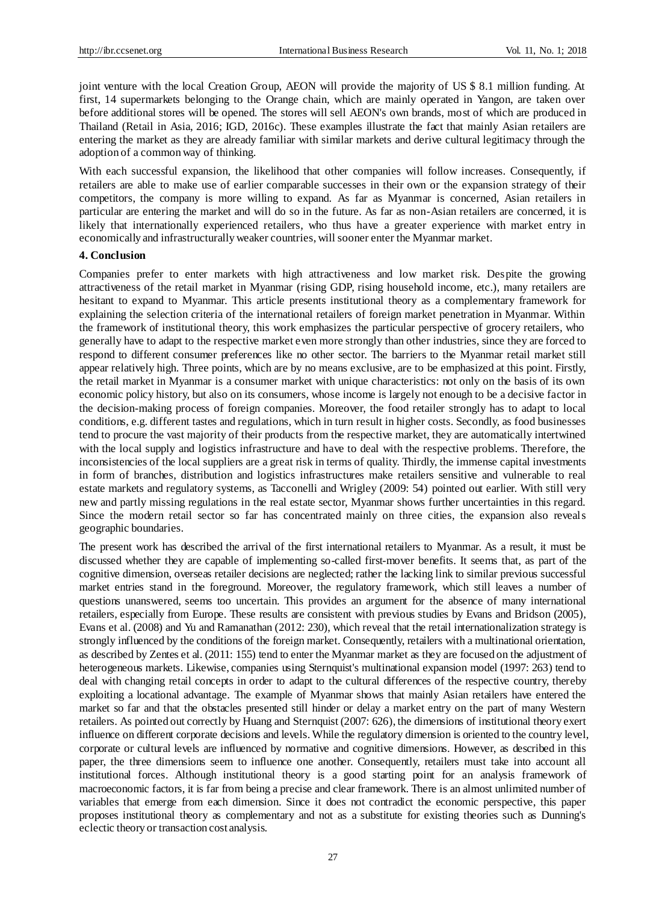joint venture with the local Creation Group, AEON will provide the majority of US \$ 8.1 million funding. At first, 14 supermarkets belonging to the Orange chain, which are mainly operated in Yangon, are taken over before additional stores will be opened. The stores will sell AEON's own brands, most of which are produced in Thailand (Retail in Asia, 2016; IGD, 2016c). These examples illustrate the fact that mainly Asian retailers are entering the market as they are already familiar with similar markets and derive cultural legitimacy through the adoption of a common way of thinking.

With each successful expansion, the likelihood that other companies will follow increases. Consequently, if retailers are able to make use of earlier comparable successes in their own or the expansion strategy of their competitors, the company is more willing to expand. As far as Myanmar is concerned, Asian retailers in particular are entering the market and will do so in the future. As far as non-Asian retailers are concerned, it is likely that internationally experienced retailers, who thus have a greater experience with market entry in economically and infrastructurally weaker countries, will sooner enter the Myanmar market.

#### **4. Conclusion**

Companies prefer to enter markets with high attractiveness and low market risk. Despite the growing attractiveness of the retail market in Myanmar (rising GDP, rising household income, etc.), many retailers are hesitant to expand to Myanmar. This article presents institutional theory as a complementary framework for explaining the selection criteria of the international retailers of foreign market penetration in Myanmar. Within the framework of institutional theory, this work emphasizes the particular perspective of grocery retailers, who generally have to adapt to the respective market even more strongly than other industries, since they are forced to respond to different consumer preferences like no other sector. The barriers to the Myanmar retail market still appear relatively high. Three points, which are by no means exclusive, are to be emphasized at this point. Firstly, the retail market in Myanmar is a consumer market with unique characteristics: not only on the basis of its own economic policy history, but also on its consumers, whose income is largely not enough to be a decisive factor in the decision-making process of foreign companies. Moreover, the food retailer strongly has to adapt to local conditions, e.g. different tastes and regulations, which in turn result in higher costs. Secondly, as food businesses tend to procure the vast majority of their products from the respective market, they are automatically intertwined with the local supply and logistics infrastructure and have to deal with the respective problems. Therefore, the inconsistencies of the local suppliers are a great risk in terms of quality. Thirdly, the immense capital investments in form of branches, distribution and logistics infrastructures make retailers sensitive and vulnerable to real estate markets and regulatory systems, as Tacconelli and Wrigley (2009: 54) pointed out earlier. With still very new and partly missing regulations in the real estate sector, Myanmar shows further uncertainties in this regard. Since the modern retail sector so far has concentrated mainly on three cities, the expansion also reveals geographic boundaries.

The present work has described the arrival of the first international retailers to Myanmar. As a result, it must be discussed whether they are capable of implementing so-called first-mover benefits. It seems that, as part of the cognitive dimension, overseas retailer decisions are neglected; rather the lacking link to similar previous successful market entries stand in the foreground. Moreover, the regulatory framework, which still leaves a number of questions unanswered, seems too uncertain. This provides an argument for the absence of many international retailers, especially from Europe. These results are consistent with previous studies by Evans and Bridson (2005), Evans et al. (2008) and Yu and Ramanathan (2012: 230), which reveal that the retail internationalization strategy is strongly influenced by the conditions of the foreign market. Consequently, retailers with a multinational orientation, as described by Zentes et al. (2011: 155) tend to enter the Myanmar market as they are focused on the adjustment of heterogeneous markets. Likewise, companies using Sternquist's multinational expansion model (1997: 263) tend to deal with changing retail concepts in order to adapt to the cultural differences of the respective country, thereby exploiting a locational advantage. The example of Myanmar shows that mainly Asian retailers have entered the market so far and that the obstacles presented still hinder or delay a market entry on the part of many Western retailers. As pointed out correctly by Huang and Sternquist (2007: 626), the dimensions of institutional theory exert influence on different corporate decisions and levels. While the regulatory dimension is oriented to the country level, corporate or cultural levels are influenced by normative and cognitive dimensions. However, as described in this paper, the three dimensions seem to influence one another. Consequently, retailers must take into account all institutional forces. Although institutional theory is a good starting point for an analysis framework of macroeconomic factors, it is far from being a precise and clear framework. There is an almost unlimited number of variables that emerge from each dimension. Since it does not contradict the economic perspective, this paper proposes institutional theory as complementary and not as a substitute for existing theories such as Dunning's eclectic theory or transaction cost analysis.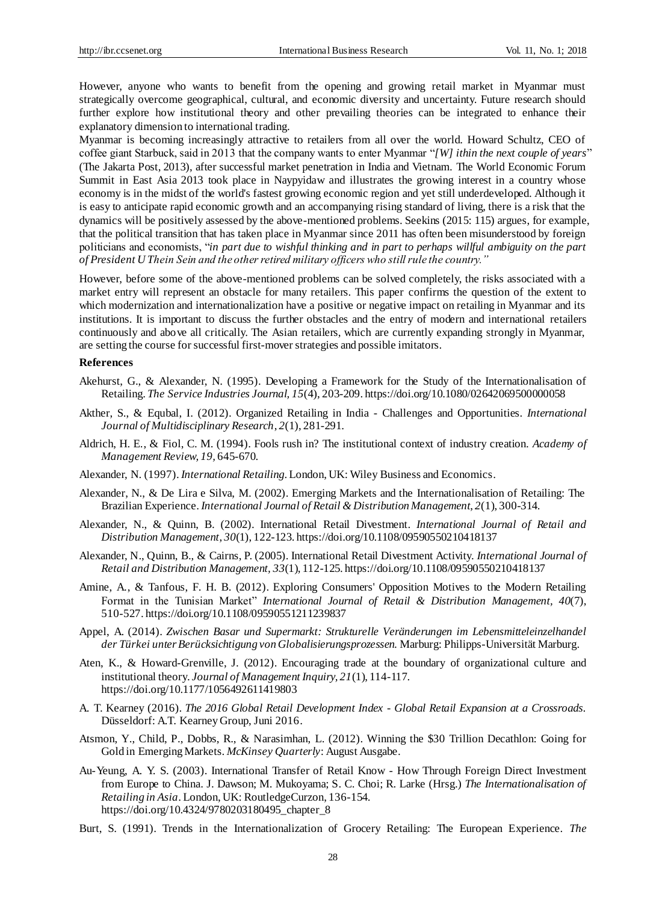However, anyone who wants to benefit from the opening and growing retail market in Myanmar must strategically overcome geographical, cultural, and economic diversity and uncertainty. Future research should further explore how institutional theory and other prevailing theories can be integrated to enhance their explanatory dimension to international trading.

Myanmar is becoming increasingly attractive to retailers from all over the world. Howard Schultz, CEO of coffee giant Starbuck, said in 2013 that the company wants to enter Myanmar "*[W] ithin the next couple of years*" (The Jakarta Post, 2013), after successful market penetration in India and Vietnam. The World Economic Forum Summit in East Asia 2013 took place in Naypyidaw and illustrates the growing interest in a country whose economy is in the midst of the world's fastest growing economic region and yet still underdeveloped. Although it is easy to anticipate rapid economic growth and an accompanying rising standard of living, there is a risk that the dynamics will be positively assessed by the above-mentioned problems. Seekins (2015: 115) argues, for example, that the political transition that has taken place in Myanmar since 2011 has often been misunderstood by foreign politicians and economists, "*in part due to wishful thinking and in part to perhaps willful ambiguity on the part of President U Thein Sein and the other retired military officers who still rule the country."*

However, before some of the above-mentioned problems can be solved completely, the risks associated with a market entry will represent an obstacle for many retailers. This paper confirms the question of the extent to which modernization and internationalization have a positive or negative impact on retailing in Myanmar and its institutions. It is important to discuss the further obstacles and the entry of modern and international retailers continuously and above all critically. The Asian retailers, which are currently expanding strongly in Myanmar, are setting the course for successful first-mover strategies and possible imitators.

#### **References**

- Akehurst, G., & Alexander, N. (1995). Developing a Framework for the Study of the Internationalisation of Retailing. *The Service Industries Journal, 15*(4), 203-209. https://doi.org/10.1080/02642069500000058
- Akther, S., & Equbal, I. (2012). Organized Retailing in India Challenges and Opportunities. *International Journal of Multidisciplinary Research*, *2*(1), 281-291.
- Aldrich, H. E., & Fiol, C. M. (1994). Fools rush in? The institutional context of industry creation. *Academy of Management Review, 19,* 645-670.
- Alexander, N. (1997).*International Retailing*. London, UK: Wiley Business and Economics.
- Alexander, N., & De Lira e Silva, M. (2002). Emerging Markets and the Internationalisation of Retailing: The Brazilian Experience. *International Journal of Retail & Distribution Management*, *2*(1), 300-314.
- Alexander, N., & Quinn, B. (2002). International Retail Divestment. *International Journal of Retail and Distribution Management*, *30*(1), 122-123. https://doi.org/10.1108/09590550210418137
- Alexander, N., Quinn, B., & Cairns, P. (2005). International Retail Divestment Activity. *International Journal of Retail and Distribution Management, 33*(1), 112-125. https://doi.org/10.1108/09590550210418137
- Amine, A., & Tanfous, F. H. B. (2012). Exploring Consumers' Opposition Motives to the Modern Retailing Format in the Tunisian Market" *International Journal of Retail & Distribution Management, 40*(7), 510-527. https://doi.org/10.1108/09590551211239837
- Appel, A. (2014). *Zwischen Basar und Supermarkt: Strukturelle Veränderungen im Lebensmitteleinzelhandel der Türkei unter Berücksichtigung von Globalisierungsprozessen.* Marburg: Philipps-Universität Marburg.
- Aten, K., & Howard-Grenville, J. (2012). Encouraging trade at the boundary of organizational culture and institutional theory. *Journal of Management Inquiry, 21*(1), 114-117. <https://doi.org/10.1177/1056492611419803>
- A. T. Kearney (2016). *The 2016 Global Retail Development Index - Global Retail Expansion at a Crossroads.* Düsseldorf: A.T. Kearney Group, Juni 2016.
- Atsmon, Y., Child, P., Dobbs, R., & Narasimhan, L. (2012). Winning the \$30 Trillion Decathlon: Going for Gold in Emerging Markets. *McKinsey Quarterly*: August Ausgabe.
- Au-Yeung, A. Y. S. (2003). International Transfer of Retail Know How Through Foreign Direct Investment from Europe to China. J. Dawson; M. Mukoyama; S. C. Choi; R. Larke (Hrsg.) *The Internationalisation of Retailing in Asia*. London, UK: RoutledgeCurzon, 136-154. https://doi.org/10.4324/9780203180495\_chapter\_8
- Burt, S. (1991). Trends in the Internationalization of Grocery Retailing: The European Experience. *The*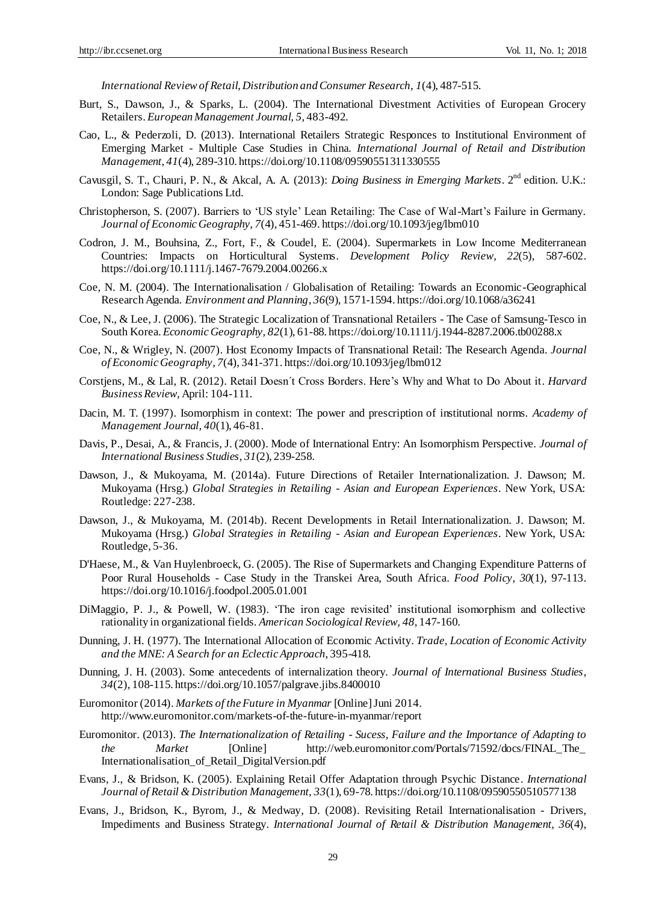*International Review of Retail, Distribution and Consumer Research, 1*(4), 487-515.

- Burt, S., Dawson, J., & Sparks, L. (2004). The International Divestment Activities of European Grocery Retailers. *European Management Journal, 5,* 483-492.
- Cao, L., & Pederzoli, D. (2013). International Retailers Strategic Responces to Institutional Environment of Emerging Market - Multiple Case Studies in China. *International Journal of Retail and Distribution Management*, *41*(4), 289-310. https://doi.org/10.1108/09590551311330555
- Cavusgil, S. T., Chauri, P. N., & Akcal, A. A. (2013): *Doing Business in Emerging Markets*. 2nd edition. U.K.: London: Sage Publications Ltd.
- Christopherson, S. (2007). Barriers to 'US style' Lean Retailing: The Case of Wal-Mart's Failure in Germany. *Journal of Economic Geography, 7*(4), 451-469. https://doi.org/10.1093/jeg/lbm010
- Codron, J. M., Bouhsina, Z., Fort, F., & Coudel, E. (2004). Supermarkets in Low Income Mediterranean Countries: Impacts on Horticultural Systems. *Development Policy Review*, *22*(5), 587-602. https://doi.org/10.1111/j.1467-7679.2004.00266.x
- Coe, N. M. (2004). The Internationalisation / Globalisation of Retailing: Towards an Economic-Geographical Research Agenda. *Environment and Planning*, *36*(9), 1571-1594. https://doi.org/10.1068/a36241
- Coe, N., & Lee, J. (2006). The Strategic Localization of Transnational Retailers The Case of Samsung-Tesco in South Korea. *Economic Geography, 82*(1), 61-88. https://doi.org/10.1111/j.1944-8287.2006.tb00288.x
- Coe, N., & Wrigley, N. (2007). Host Economy Impacts of Transnational Retail: The Research Agenda. *Journal of Economic Geography*, *7*(4), 341-371. https://doi.org/10.1093/jeg/lbm012
- Corstjens, M., & Lal, R. (2012). Retail Doesn´t Cross Borders. Here's Why and What to Do About it. *Harvard Business Review,* April: 104-111.
- Dacin, M. T. (1997). Isomorphism in context: The power and prescription of institutional norms. *Academy of Management Journal, 40*(1), 46-81.
- Davis, P., Desai, A., & Francis, J. (2000). Mode of International Entry: An Isomorphism Perspective. *[Journal of](http://link.springer.com/journal/41267)  [International Business Studies](http://link.springer.com/journal/41267)*, *31*(2), 239-258.
- Dawson, J., & Mukoyama, M. (2014a). Future Directions of Retailer Internationalization. J. Dawson; M. Mukoyama (Hrsg.) *Global Strategies in Retailing - Asian and European Experiences*. New York, USA: Routledge: 227-238.
- Dawson, J., & Mukoyama, M. (2014b). Recent Developments in Retail Internationalization. J. Dawson; M. Mukoyama (Hrsg.) *Global Strategies in Retailing - Asian and European Experiences*. New York, USA: Routledge, 5-36.
- D'Haese, M., & Van Huylenbroeck, G. (2005). The Rise of Supermarkets and Changing Expenditure Patterns of Poor Rural Households - Case Study in the Transkei Area, South Africa. *Food Policy*, *30*(1), 97-113. https://doi.org/10.1016/j.foodpol.2005.01.001
- DiMaggio, P. J., & Powell, W. (1983). 'The iron cage revisited' institutional isomorphism and collective rationality in organizational fields. *American Sociological Review, 48,* 147-160.
- Dunning, J. H. (1977)[. The International Allocation of Economic Activity.](http://link.springer.com/book/10.1007/978-1-349-03196-2) *Trade, Location of Economic Activity and the MNE: A Search for an Eclectic Approach*, 395-418.
- Dunning, J. H. (2003). Some antecedents of internalization theory. *Journal of International Business Studies*, *34*(2), 108-115. https://doi.org/10.1057/palgrave.jibs.8400010
- Euromonitor (2014). *Markets of the Future in Myanmar* [Online] Juni 2014. <http://www.euromonitor.com/markets-of-the-future-in-myanmar/report>
- Euromonitor. (2013). *The Internationalization of Retailing - Sucess, Failure and the Importance of Adapting to the Market* [Online] [http://web.euromonitor.com/Portals/71592/docs/FINAL\\_The\\_](http://web.euromonitor.com/Portals/71592/docs/FINAL_The_%20Internationalisation_of_Retail_DigitalVersion.pdf)  [Internationalisation\\_of\\_Retail\\_DigitalVersion.pdf](http://web.euromonitor.com/Portals/71592/docs/FINAL_The_%20Internationalisation_of_Retail_DigitalVersion.pdf)
- Evans, J., & Bridson, K. (2005). Explaining Retail Offer Adaptation through Psychic Distance. *International Journal of Retail & Distribution Management, 33*(1), 69-78. https://doi.org/10.1108/09590550510577138
- Evans, J., Bridson, K., Byrom, J., & Medway, D. (2008). Revisiting Retail Internationalisation Drivers, Impediments and Business Strategy. *International Journal of Retail & Distribution Management, 36*(4),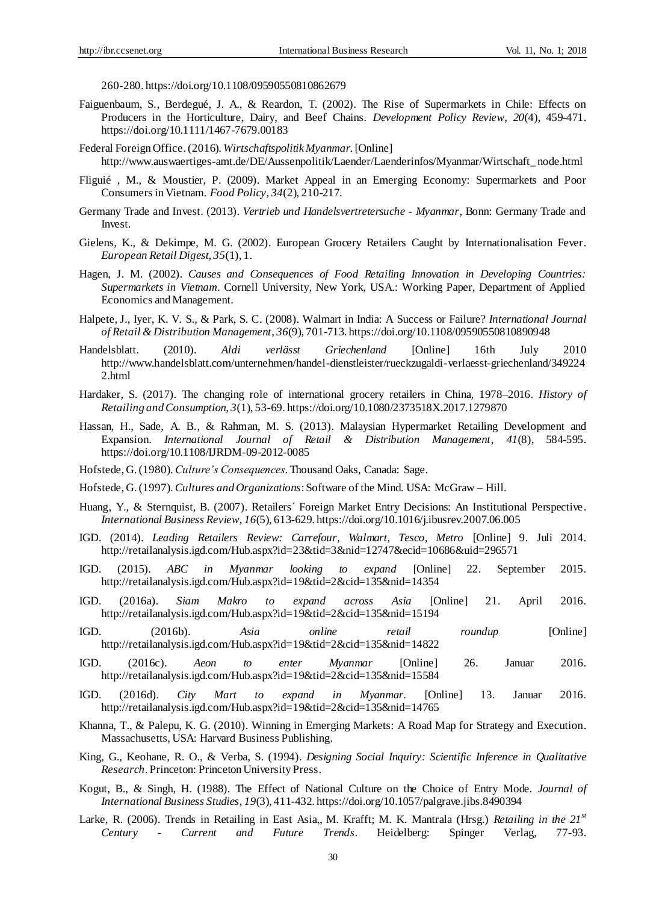260-280. https://doi.org/10.1108/09590550810862679

- Faiguenbaum, S., Berdegué, J. A., & Reardon, T. (2002). The Rise of Supermarkets in Chile: Effects on Producers in the Horticulture, Dairy, and Beef Chains. *Development Policy Review*, *20*(4), 459-471. https://doi.org/10.1111/1467-7679.00183
- Federal Foreign Office.(2016). *Wirtschaftspolitik Myanmar*. [Online] http://www.auswaertiges-amt.de/DE/Aussenpolitik/Laender/Laenderinfos/Myanmar/Wirtschaft\_ node.html
- FIiguié , M., & Moustier, P. (2009). Market Appeal in an Emerging Economy: Supermarkets and Poor Consumers in Vietnam. *Food Policy*, *34*(2), 210-217.
- Germany Trade and Invest. (2013). *Vertrieb und Handelsvertretersuche - Myanmar*, Bonn: Germany Trade and Invest.
- Gielens, K., & Dekimpe, M. G. (2002). European Grocery Retailers Caught by Internationalisation Fever. *European Retail Digest*, *35*(1), 1.
- Hagen, J. M. (2002). *Causes and Consequences of Food Retailing Innovation in Developing Countries: Supermarkets in Vietnam*. Cornell University, New York, USA.: Working Paper, Department of Applied Economics and Management.
- Halpete, J., Iyer, K. V. S., & Park, S. C. (2008). Walmart in India: A Success or Failure? *International Journal of Retail & Distribution Management*, *36*(9), 701-713. https://doi.org/10.1108/09590550810890948
- Handelsblatt. (2010). *Aldi verlässt Griechenland* [Online] 16th July 2010 http://www.handelsblatt.com/unternehmen/handel-dienstleister/rueckzugaldi-verlaesst-griechenland/349224 2.html
- Hardaker, S. (2017). The changing role of international grocery retailers in China, 1978–2016. *History of Retailing and Consumption, 3*(1), 53-69. https://doi.org/10.1080/2373518X.2017.1279870
- Hassan, H., Sade, A. B., & Rahman, M. S. (2013). Malaysian Hypermarket Retailing Development and Expansion. *International Journal of Retail & Distribution Management*, *41*(8), 584-595. https://doi.org/10.1108/IJRDM-09-2012-0085
- Hofstede, G. (1980). *Culture's Consequences*. Thousand Oaks, Canada: Sage.
- Hofstede, G. (1997). *Cultures and Organizations*: Software of the Mind. USA: McGraw Hill.
- Huang, Y., & Sternquist, B. (2007). Retailers´ Foreign Market Entry Decisions: An Institutional Perspective. *International Business Review*, *16*(5), 613-629. https://doi.org/10.1016/j.ibusrev.2007.06.005
- IGD. (2014). *Leading Retailers Review: Carrefour, Walmart, Tesco, Metro* [Online] 9. Juli 2014. http://retailanalysis.igd.com/Hub.aspx?id=23&tid=3&nid=12747&ecid=10686&uid=296571
- IGD. (2015). *ABC in Myanmar looking to expand* [Online] 22. September 2015. http://retailanalysis.igd.com/Hub.aspx?id=19&tid=2&cid=135&nid=14354
- IGD. (2016a). *Siam Makro to expand across Asia* [Online] 21. April 2016. http://retailanalysis.igd.com/Hub.aspx?id=19&tid=2&cid=135&nid=15194
- IGD. (2016b). *Asia online retail roundup* [Online] http://retailanalysis.igd.com/Hub.aspx?id=19&tid=2&cid=135&nid=14822
- IGD. (2016c). *Aeon to enter Myanmar* [Online] 26. Januar 2016. http://retailanalysis.igd.com/Hub.aspx?id=19&tid=2&cid=135&nid=15584
- IGD. (2016d). *City Mart to expand in Myanmar.* [Online] 13. Januar 2016. http://retailanalysis.igd.com/Hub.aspx?id=19&tid=2&cid=135&nid=14765
- Khanna, T., & Palepu, K. G. (2010). Winning in Emerging Markets: A Road Map for Strategy and Execution. Massachusetts, USA: Harvard Business Publishing.
- King, G., Keohane, R. O., & Verba, S. (1994). *Designing Social Inquiry: Scientific Inference in Qualitative Research*. Princeton: Princeton University Press.
- Kogut, B., & Singh, H. (1988). The Effect of National Culture on the Choice of Entry Mode. *Journal of International Business Studies, 19*(3), 411-432. https://doi.org/10.1057/palgrave.jibs.8490394
- Larke, R. (2006). Trends in Retailing in East Asia,, M. Krafft; M. K. Mantrala (Hrsg.) *Retailing in the 21<sup>st</sup> Century - Current and Future Trends*. Heidelberg: Spinger Verlag, 77-93.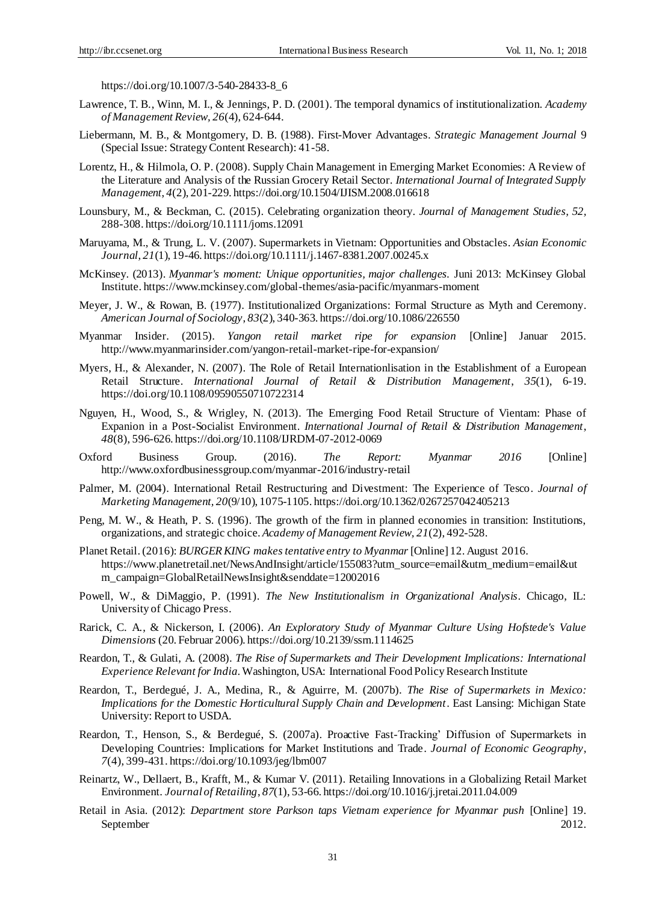https://doi.org/10.1007/3-540-28433-8\_6

- Lawrence, T. B., Winn, M. I., & Jennings, P. D. (2001). The temporal dynamics of institutionalization. *Academy of Management Review, 26*(4), 624-644.
- Liebermann, M. B., & Montgomery, D. B. (1988). First-Mover Advantages. *Strategic Management Journal* 9 (Special Issue: Strategy Content Research): 41-58.
- Lorentz, H., & Hilmola, O. P. (2008). Supply Chain Management in Emerging Market Economies: A Review of the Literature and Analysis of the Russian Grocery Retail Sector. *International Journal of Integrated Supply Management*, *4*(2), 201-229. https://doi.org/10.1504/IJISM.2008.016618
- Lounsbury, M., & Beckman, C. (2015). Celebrating organization theory. *Journal of Management Studies, 52,*  288-308. https://doi.org/10.1111/joms.12091
- Maruyama, M., & Trung, L. V. (2007). Supermarkets in Vietnam: Opportunities and Obstacles. *Asian Economic Journal*, *21*(1), 19-46. https://doi.org/10.1111/j.1467-8381.2007.00245.x
- McKinsey. (2013). *Myanmar's moment: Unique opportunities, major challenges.* Juni 2013: McKinsey Global Institute. https://www.mckinsey.com/global-themes/asia-pacific/myanmars-moment
- Meyer, J. W., & Rowan, B. (1977). Institutionalized Organizations: Formal Structure as Myth and Ceremony. *American Journal of Sociology*, *83*(2), 340-363. https://doi.org/10.1086/226550
- Myanmar Insider. (2015). *Yangon retail market ripe for expansion* [Online] Januar 2015. http://www.myanmarinsider.com/yangon-retail-market-ripe-for-expansion/
- Myers, H., & Alexander, N. (2007). The Role of Retail Internationlisation in the Establishment of a European Retail Structure. *International Journal of Retail & Distribution Management*, *35*(1), 6-19. https://doi.org/10.1108/09590550710722314
- Nguyen, H., Wood, S., & Wrigley, N. (2013). The Emerging Food Retail Structure of Vientam: Phase of Expanion in a Post-Socialist Environment. *International Journal of Retail & Distribution Management*, *48*(8), 596-626. https://doi.org/10.1108/IJRDM-07-2012-0069
- Oxford Business Group. (2016). *The Report: Myanmar 2016* [Online] http://www.oxfordbusinessgroup.com/myanmar-2016/industry-retail
- Palmer, M. (2004). International Retail Restructuring and Divestment: The Experience of Tesco. *Journal of Marketing Management, 20*(9/10), 1075-1105. https://doi.org/10.1362/0267257042405213
- Peng, M. W., & Heath, P. S. (1996). The growth of the firm in planned economies in transition: Institutions, organizations, and strategic choice. *Academy of Management Review, 21*(2), 492-528.
- Planet Retail.(2016): *BURGER KING makes tentative entry to Myanmar* [Online] 12. August 2016. https://www.planetretail.net/NewsAndInsight/article/155083?utm\_source=email&utm\_medium=email&ut m\_campaign=GlobalRetailNewsInsight&senddate=12002016
- Powell, W., & DiMaggio, P. (1991). *The New Institutionalism in Organizational Analysis*. Chicago, IL: University of Chicago Press.
- Rarick, C. A., & Nickerson, I. (2006). *An Exploratory Study of Myanmar Culture Using Hofstede's Value Dimensions* (20. Februar 2006). https://doi.org/10.2139/ssrn.1114625
- Reardon, T., & Gulati, A. (2008). *The Rise of Supermarkets and Their Development Implications: International Experience Relevant for India*. Washington, USA: International Food Policy Research Institute
- Reardon, T., Berdegué, J. A., Medina, R., & Aguirre, M. (2007b). *The Rise of Supermarkets in Mexico: Implications for the Domestic Horticultural Supply Chain and Development*. East Lansing: Michigan State University: Report to USDA.
- Reardon, T., Henson, S., & Berdegué, S. (2007a). Proactive Fast-Tracking' Diffusion of Supermarkets in Developing Countries: Implications for Market Institutions and Trade. *Journal of Economic Geography*, *7*(4), 399-431. https://doi.org/10.1093/jeg/lbm007
- Reinartz, W., Dellaert, B., Krafft, M., & Kumar V. (2011). Retailing Innovations in a Globalizing Retail Market Environment. *Journal of Retailing*, *87*(1), 53-66. https://doi.org/10.1016/j.jretai.2011.04.009
- Retail in Asia. (2012): *Department store Parkson taps Vietnam experience for Myanmar push* [Online] 19. September 2012.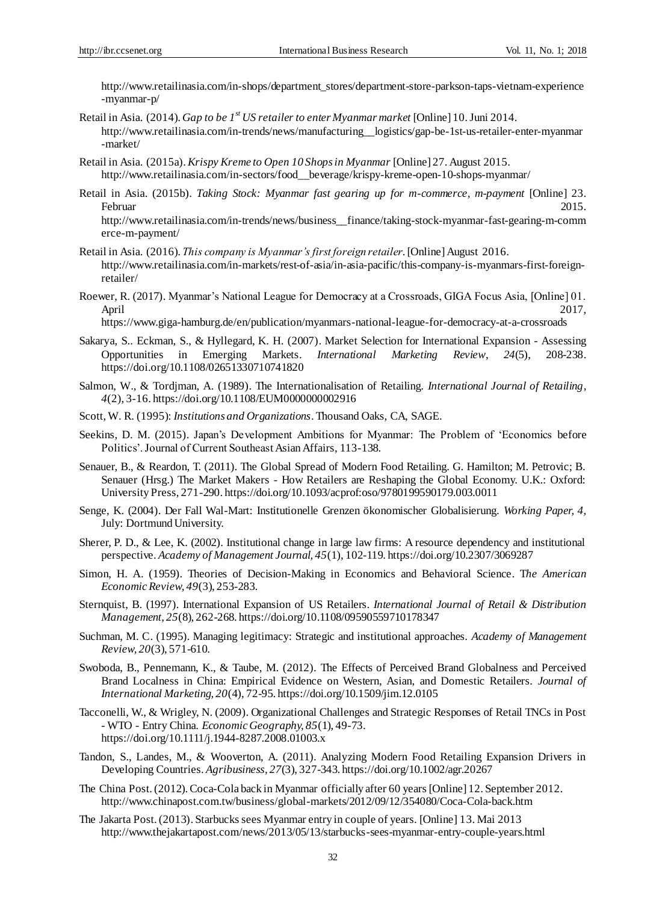http://www.retailinasia.com/in-shops/department\_stores/department-store-parkson-taps-vietnam-experience -myanmar-p/

- Retail in Asia. (2014). *Gap to be 1st US retailer to enter Myanmar market* [Online] 10. Juni 2014. http://www.retailinasia.com/in-trends/news/manufacturing\_\_logistics/gap-be-1st-us-retailer-enter-myanmar -market/
- Retail in Asia. (2015a). *Krispy Kreme to Open 10 Shops in Myanmar* [Online] 27. August 2015. http://www.retailinasia.com/in-sectors/food\_\_beverage/krispy-kreme-open-10-shops-myanmar/
- Retail in Asia. (2015b). *Taking Stock: Myanmar fast gearing up for m-commerce, m-payment* [Online] 23. Februar 2015.

http://www.retailinasia.com/in-trends/news/business\_\_finance/taking-stock-myanmar-fast-gearing-m-comm erce-m-payment/

- Retail in Asia. (2016). *This company is Myanmar's first foreign retailer*. [Online] August 2016. http://www.retailinasia.com/in-markets/rest-of-asia/in-asia-pacific/this-company-is-myanmars-first-foreignretailer/
- Roewer, R. (2017). Myanmar's National League for Democracy at a Crossroads, GIGA Focus Asia, [Online] 01. April 2017,

<https://www.giga-hamburg.de/en/publication/myanmars-national-league-for-democracy-at-a-crossroads>

- Sakarya, S.. Eckman, S., & Hyllegard, K. H. (2007). Market Selection for International Expansion Assessing Opportunities in Emerging Markets. *International Marketing Review*, *24*(5), 208-238. https://doi.org/10.1108/02651330710741820
- Salmon, W., & Tordjman, A. (1989). The Internationalisation of Retailing. *International Journal of Retailing*, *4*(2), 3-16. https://doi.org/10.1108/EUM0000000002916
- Scott, W. R. (1995): *Institutions and Organizations*. Thousand Oaks, CA, SAGE.
- Seekins, D. M. (2015). Japan's Development Ambitions for Myanmar: The Problem of 'Economics before Politics'. Journal of Current Southeast Asian Affairs, 113-138.
- Senauer, B., & Reardon, T. (2011). The Global Spread of Modern Food Retailing. G. Hamilton; M. Petrovic; B. Senauer (Hrsg.) The Market Makers - How Retailers are Reshaping the Global Economy. U.K.: Oxford: University Press, 271-290. https://doi.org/10.1093/acprof:oso/9780199590179.003.0011
- Senge, K. (2004). Der Fall Wal-Mart: Institutionelle Grenzen ökonomischer Globalisierung. *Working Paper, 4,*  July: Dortmund University.
- Sherer, P. D., & Lee, K. (2002). Institutional change in large law firms: A resource dependency and institutional perspective. *Academy of Management Journal, 45*(1), 102-119. https://doi.org/10.2307/3069287
- Simon, H. A. (1959). [Theories of Decision-Making in Economics and Behavioral Science.](https://msuweb.montclair.edu/~lebelp/SimonDecTheoryAER1959.pdf) T*he American Economic Review, 49*(3), 253-283.
- Sternquist, B. (1997). International Expansion of US Retailers. *International Journal of Retail & Distribution Management, 25*(8), 262-268. https://doi.org/10.1108/09590559710178347
- Suchman, M. C. (1995). Managing legitimacy: Strategic and institutional approaches. *Academy of Management Review, 20*(3), 571-610.
- Swoboda, B., Pennemann, K., & Taube, M. (2012). The Effects of Perceived Brand Globalness and Perceived Brand Localness in China: Empirical Evidence on Western, Asian, and Domestic Retailers. *Journal of International Marketing, 20*(4), 72-95. https://doi.org/10.1509/jim.12.0105
- Tacconelli, W., & Wrigley, N. (2009). Organizational Challenges and Strategic Responses of Retail TNCs in Post - WTO - Entry China. *Economic Geography, 85*(1), 49-73. https://doi.org/10.1111/j.1944-8287.2008.01003.x
- Tandon, S., Landes, M., & Wooverton, A. (2011). Analyzing Modern Food Retailing Expansion Drivers in Developing Countries. *Agribusiness, 27*(3), 327-343. https://doi.org/10.1002/agr.20267
- The China Post. (2012).Coca-Cola back in Myanmar officially after 60 years [Online] 12. September 2012. http://www.chinapost.com.tw/business/global-markets/2012/09/12/354080/Coca-Cola-back.htm
- The Jakarta Post. (2013). Starbucks sees Myanmar entry in couple of years. [Online] 13. Mai 2013 http://www.thejakartapost.com/news/2013/05/13/starbucks-sees-myanmar-entry-couple-years.html